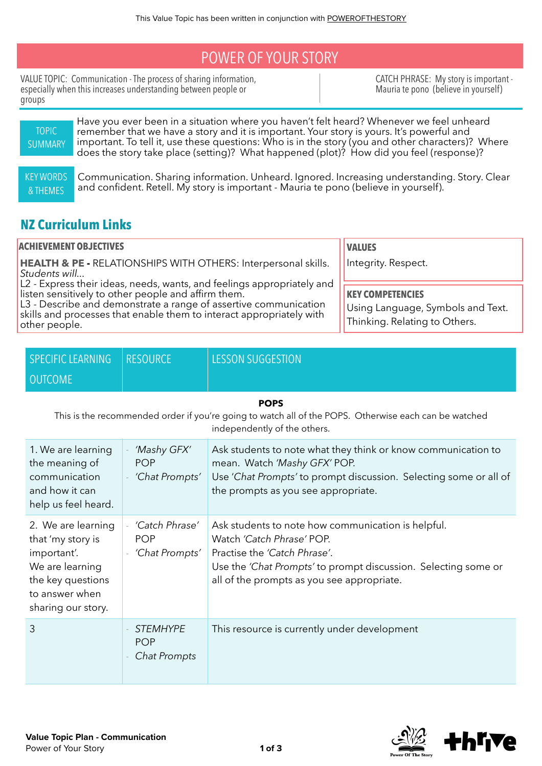## POWER OF YOUR STORY

VALUE TOPIC: Communication - The process of sharing information, especially when this increases understanding between people or groups

CATCH PHRASE: My story is important - Mauria te pono (believe in yourself)



## **NZ Curriculum Links**

| <b>ACHIEVEMENT OBJECTIVES</b>                                                                                                                                                                                                                                                              | <b>VALUES</b>                                                                                 |
|--------------------------------------------------------------------------------------------------------------------------------------------------------------------------------------------------------------------------------------------------------------------------------------------|-----------------------------------------------------------------------------------------------|
| HEALTH & PE - RELATIONSHIPS WITH OTHERS: Interpersonal skills.<br>Students will                                                                                                                                                                                                            | Integrity. Respect.                                                                           |
| L2 - Express their ideas, needs, wants, and feelings appropriately and<br>listen sensitively to other people and affirm them.<br>L3 - Describe and demonstrate a range of assertive communication<br>skills and processes that enable them to interact appropriately with<br>other people. | <b>KEY COMPETENCIES</b><br>Using Language, Symbols and Text.<br>Thinking. Relating to Others. |

| SPECIFIC LEARNING   RESOURCE | <b>LESSON SUGGESTION</b> |
|------------------------------|--------------------------|
| <b>OUTCOME</b>               |                          |

## **POPS**

This is the recommended order if you're going to watch all of the POPS. Otherwise each can be watched independently of the others.

| 1. We are learning<br>the meaning of<br>communication<br>and how it can<br>help us feel heard.                                         | 'Mashy GFX'<br><b>POP</b><br>'Chat Prompts'    | Ask students to note what they think or know communication to<br>mean. Watch 'Mashy GFX' POP.<br>Use 'Chat Prompts' to prompt discussion. Selecting some or all of<br>the prompts as you see appropriate.                       |
|----------------------------------------------------------------------------------------------------------------------------------------|------------------------------------------------|---------------------------------------------------------------------------------------------------------------------------------------------------------------------------------------------------------------------------------|
| 2. We are learning<br>that 'my story is<br>important'.<br>We are learning<br>the key questions<br>to answer when<br>sharing our story. | 'Catch Phrase'<br><b>POP</b><br>'Chat Prompts' | Ask students to note how communication is helpful.<br>Watch 'Catch Phrase' POP.<br>Practise the 'Catch Phrase'.<br>Use the 'Chat Prompts' to prompt discussion. Selecting some or<br>all of the prompts as you see appropriate. |
| 3                                                                                                                                      | <b>STEMHYPE</b><br><b>POP</b><br>Chat Prompts  | This resource is currently under development                                                                                                                                                                                    |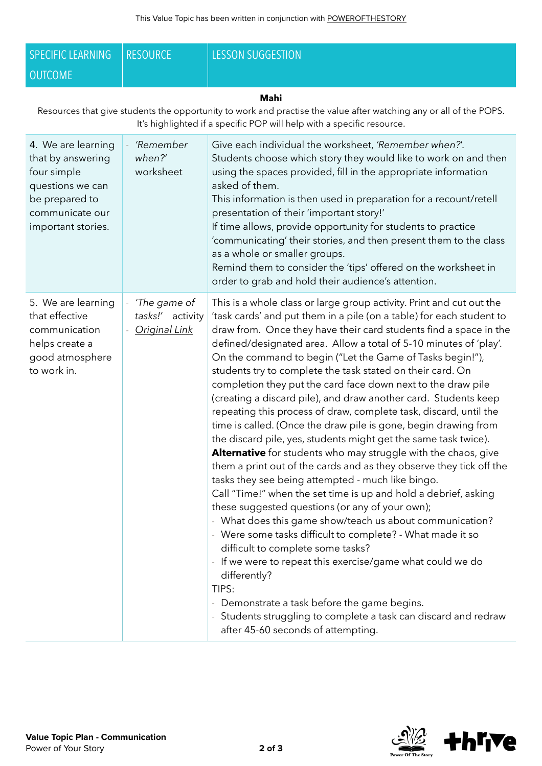| <b>SPECIFIC LEARNING</b>                                                                                                                                                                                    | <b>RESOURCE</b>                                   | <b>LESSON SUGGESTION</b>                                                                                                                                                                                                                                                                                                                                                                                                                                                                                                                                                                                                                                                                                                                                                                                                                                                                                                                                                                                                                                                                                                                                                                                                                                                                                                                                                                                                                                                                          |  |
|-------------------------------------------------------------------------------------------------------------------------------------------------------------------------------------------------------------|---------------------------------------------------|---------------------------------------------------------------------------------------------------------------------------------------------------------------------------------------------------------------------------------------------------------------------------------------------------------------------------------------------------------------------------------------------------------------------------------------------------------------------------------------------------------------------------------------------------------------------------------------------------------------------------------------------------------------------------------------------------------------------------------------------------------------------------------------------------------------------------------------------------------------------------------------------------------------------------------------------------------------------------------------------------------------------------------------------------------------------------------------------------------------------------------------------------------------------------------------------------------------------------------------------------------------------------------------------------------------------------------------------------------------------------------------------------------------------------------------------------------------------------------------------------|--|
| <b>OUTCOME</b>                                                                                                                                                                                              |                                                   |                                                                                                                                                                                                                                                                                                                                                                                                                                                                                                                                                                                                                                                                                                                                                                                                                                                                                                                                                                                                                                                                                                                                                                                                                                                                                                                                                                                                                                                                                                   |  |
| <b>Mahi</b><br>Resources that give students the opportunity to work and practise the value after watching any or all of the POPS.<br>It's highlighted if a specific POP will help with a specific resource. |                                                   |                                                                                                                                                                                                                                                                                                                                                                                                                                                                                                                                                                                                                                                                                                                                                                                                                                                                                                                                                                                                                                                                                                                                                                                                                                                                                                                                                                                                                                                                                                   |  |
| 4. We are learning<br>that by answering<br>four simple<br>questions we can<br>be prepared to<br>communicate our<br>important stories.                                                                       | 'Remember<br>when?'<br>worksheet                  | Give each individual the worksheet, 'Remember when?'.<br>Students choose which story they would like to work on and then<br>using the spaces provided, fill in the appropriate information<br>asked of them.<br>This information is then used in preparation for a recount/retell<br>presentation of their 'important story!'<br>If time allows, provide opportunity for students to practice<br>'communicating' their stories, and then present them to the class<br>as a whole or smaller groups.<br>Remind them to consider the 'tips' offered on the worksheet in<br>order to grab and hold their audience's attention.                                                                                                                                                                                                                                                                                                                                                                                                                                                                                                                                                                                                                                                                                                                                                                                                                                                                       |  |
| 5. We are learning<br>that effective<br>communication<br>helps create a<br>good atmosphere<br>to work in.                                                                                                   | 'The game of<br>tasks!' activity<br>Original Link | This is a whole class or large group activity. Print and cut out the<br>'task cards' and put them in a pile (on a table) for each student to<br>draw from. Once they have their card students find a space in the<br>defined/designated area. Allow a total of 5-10 minutes of 'play'.<br>On the command to begin ("Let the Game of Tasks begin!"),<br>students try to complete the task stated on their card. On<br>completion they put the card face down next to the draw pile<br>(creating a discard pile), and draw another card. Students keep<br>repeating this process of draw, complete task, discard, until the<br>time is called. (Once the draw pile is gone, begin drawing from<br>the discard pile, yes, students might get the same task twice).<br><b>Alternative</b> for students who may struggle with the chaos, give<br>them a print out of the cards and as they observe they tick off the<br>tasks they see being attempted - much like bingo.<br>Call "Time!" when the set time is up and hold a debrief, asking<br>these suggested questions (or any of your own);<br>- What does this game show/teach us about communication?<br>Were some tasks difficult to complete? - What made it so<br>difficult to complete some tasks?<br>If we were to repeat this exercise/game what could we do<br>differently?<br>TIPS:<br>Demonstrate a task before the game begins.<br>Students struggling to complete a task can discard and redraw<br>after 45-60 seconds of attempting. |  |